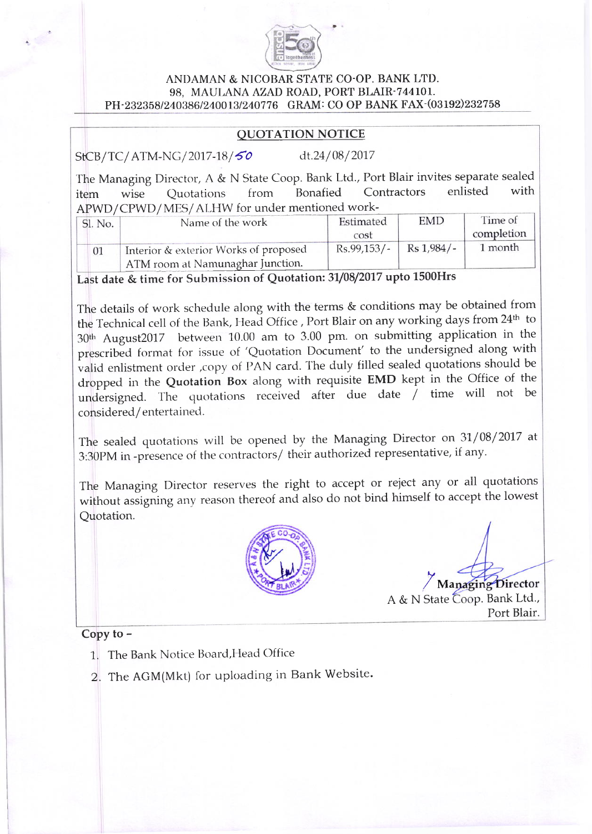

## ANDAMAN & NICOBAR STATE CO-OP. BANK LTD. 98, MAULANA AZAD ROAD, PORT BLAIR-744101. PH-232358/240386/240013/240776 GRAM: CO OP BANK FAX-(03192)232758

## OUOTATION NOTICE

StCB/TC/ATM-NG/2017-18/50 dt.24/08/2017

The Managing Director, A & N State Coop. Bank Ltd., Port Blair invites separate sealed item wise Quotations from Bonafied Contractors enlisted with APWD/CPWD/MES/ALHW for under mentioned work-

| Sl. No. | Name of the work                      | Estimated<br>cost | EMD        | Time of<br>completion |
|---------|---------------------------------------|-------------------|------------|-----------------------|
|         | Interior & exterior Works of proposed | $Rs.99,153/-.$    | Rs 1,984/- | 1 month               |
|         | ATM room at Namunaghar Junction.      |                   |            |                       |

Last date & time for Submission of Quotation: 31/08/2017 upto 1500Hrs

The details of work schedule along with the terms & conditions may be obtained from the Technical cell of the Bank, Head Office , Port Blair on any working days from 24<sup>th</sup> to 30<sup>th</sup> August2017 between 10.00 am to 3.00 pm. on submitting application in the prescribed format for issue of 'Quotation Document' to the undersigned along with valid enlistment order ,copy of PAN card. The duly filled sealed quotations should be dropped in the Quotation Box along with requisite EMD kept in the Office of the undersigned. The quotations received after due date  $\overline{\phantom{x}}$  time will not be considered/entertained.

The sealed quotations will be opened by the Managing Director on  $31/08/2017$  at 3:30pM in -presence of the contractors/ their authorized representative, if any.

The Managing Director reserves the right to accept or reject any or all quotations without assigning any reason thereof and also do not bind himself to accept the lowest Quotation.



Y Managing Director A & N State Coop. Bank Ltd., Port Blair.

Copy to -

- 1. The Bank Notice Board, Head Office
- 2. The AGM(Mkt) for uploading in Bank Website.